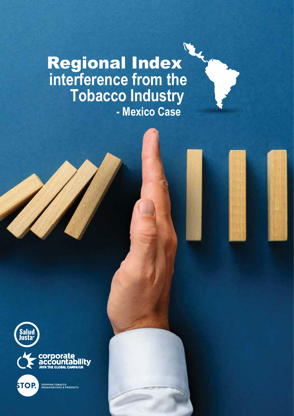## **interference from the** Regional Index **Tobacco Industry - Mexico Case**





**STOPPING TOBACCO<br>ORGANIZATIONS & PRODUCTS STOP.**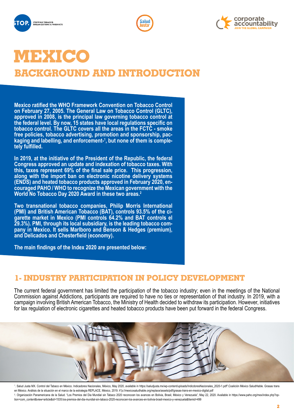





# **MEXICO**

**BACKGROUND AND INTRODUCTION**

**Mexico ratified the WHO Framework Convention on Tobacco Control on February 27, 2005. The General Law on Tobacco Control (GLTC), approved in 2008, is the principal law governing tobacco control at the federal level. By now, 15 states have local regulations specific on tobacco control. The GLTC covers all the areas in the FCTC - smoke free policies, tobacco advertising, promotion and sponsorship, packaging and labelling, and enforcement-1 , but none of them is completely fulfilled.**

**In 2019, at the initiative of the President of the Republic, the federal Congress approved an update and indexation of tobacco taxes. With this, taxes represent 69% of the final sale price. This progression, along with the import ban on electronic nicotine delivery systems (ENDS) and heated tobacco products approved in February 2020, encouraged PAHO / WHO to recognize the Mexican government with the World No Tobacco Day 2020 Award in these two areas.2** 

**Two transnational tobacco companies, Philip Morris International (PMI) and British American Tobacco (BAT), controls 93.5% of the cigarette market in Mexico (PMI controls 64.2% and BAT controls el 29.3%). PMI, through its local subsidiary, is the leading tobacco company in Mexico. It sells Marlboro and Benson & Hedges (premium), and Delicados and Chesterfield (economy).**

**The main findings of the Index 2020 are presented below:**

#### **1- INDUSTRY PARTICIPATION IN POLICY DEVELOPMENT**

The current federal government has limited the participation of the tobacco industry; even in the meetings of the National Commission against Addictions, participants are required to have no ties or representation of that industry. In 2019, with a campaign involving British American Tobacco, the Ministry of Health decided to withdraw its participation. However, initiatives for lax regulation of electronic cigarettes and heated tobacco products have been put forward in the federal Congress.



1 . Salud Justa MX. Control del Tabaco en México. Indicadores Nacionales, México, May 2020, available in https://saludjusta.mx/wp-content/uploads/IndicdoresNacionales\_2020-1.pdf2 .Coalición México SaludHable. Grasas trans en México. Análisis de la situación en el marco de la estrategia REPLACE, México, 2019. h"p://mexicosaludhable.org/replace/assets/pdf/grasas-trans-en-mexico-digital.pdf 2. Organización Panamericana de la Salud. "Los Premios del Dia Mundial sin Tabaco 2020 reconocen los avances en Bolivia, Brasil, México y Venezuela", May 22, 2020. Available in https://www.paho.org/mex/index.php?option=com\_content&view=article&id=1535:los-premios-del-dia-mundial-sin-tabaco-2020-reconocen-los-avances-en-bolivia-brasil-mexico-y-venezuela&Itemid=499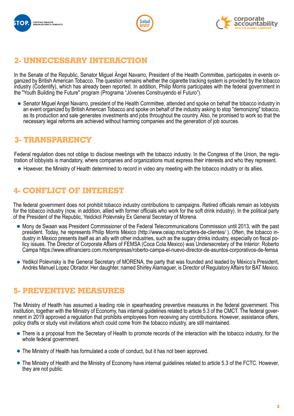





#### **2- UNNECESSARY INTERACTION**

In the Senate of the Republic, Senator Miguel Angel Navarro, President of the Health Committee, participates in events or-<br>ganized by British American Tobacco. The question remains whether the cigarette tracking system is industry (Codentify), which has already been reported. In addition, Philip Morris participates with the federal government in the "Youth Building the Future" program (Programa "Jóvenes Construyendo el Futuro").

Senator Miguel Angel Navarro, president of the Health Committee, attended and spoke on behalf the tobacco industry in an event organized by British American Tobacco and spoke on behalf of the industry asking to stop "demonizing" tobacco, as its production and sale generates investments and jobs throughout the country. Also, he promised to work so that the necessary legal reforms are achieved without harming companies and the generation of job sources.

#### **3- TRANSPARENCY**

Federal regulation does not oblige to disclose meetings with the tobacco industry. In the Congress of the Union, the registration of lobbyists is mandatory, where companies and organizations must express their interests and who they represent.

However, the Ministry of Health determined to record in video any meeting with the tobacco industry or its allies.

#### **4- CONFLICT OF INTEREST**

The federal government does not prohibit tobacco industry contributions to campaigns. Retired officials remain as lobbyists for the tobacco industry (now, in addition, allied with former officials who work for the soft drink industry). In the political party of the President of the Republic, Yeidckol Polevnsky Ex General Secretary of Morena.

- Mony de Swaan was President Commissioner of the Federal Telecommunications Commission until 2013, with the past president. Today, he represents Philip Morris México (http://www.ceiap.mx/cartera-de-clientes/ ). Often, the tobacco industry in Mexico presents itself as an ally with other industries, such as the sugary drinks industry, especially on fiscal policy issues. The Director of Corporate Affairs of FEMSA (Coca Cola Mexico) was Undersecretary of the Interior: Roberto Campa https://www.elfinanciero.com.mx/empresas/roberto-campa-el-nuevo-director-de-asuntos-corporativos-de-femsa
- Yedikol Polevnsky is the General Secretary of MORENA, the party that was founded and leaded by México's President, Andrés Manuel Lopez Obrador. Her daughter, named Shirley Alamaguer, is Director of Regulatory Affairs for BAT Mexico.

#### **5- PREVENTIVE MEASURES**

The Ministry of Health has assumed a leading role in spearheading preventive measures in the federal government. This institution, together with the Ministry of Economy, has internal guidelines related to article 5.3 of the CMCT. The federal government in 2019 approved a regulation that prohibits employees from receiving any contributions. However, assistance offers, policy drafts or study visit invitations which could come from the tobacco industry, are still maintained.

- There is a proposal from the Secretary of Health to promote records of the interaction with the tobacco industry, for the whole federal government.
- The Ministry of Health has formulated a code of conduct, but it has not been approved.
- The Ministry of Health and the Ministry of Economy have internal guidelines related to article 5.3 of the FCTC. However, they are not public.